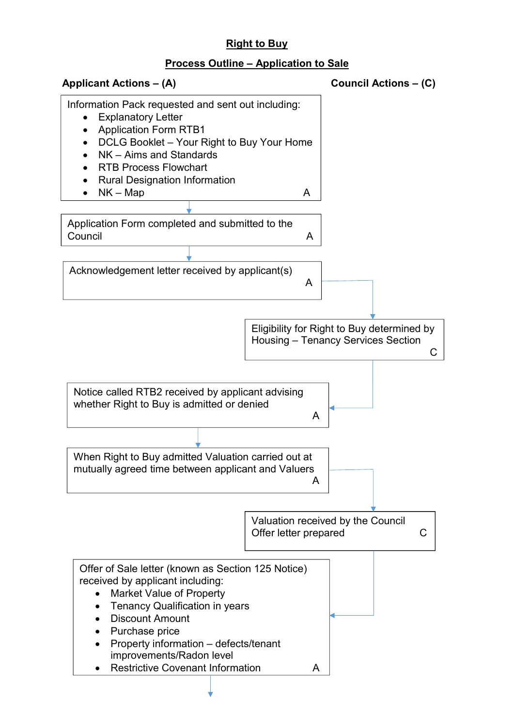## Right to Buy

## Process Outline – Application to Sale